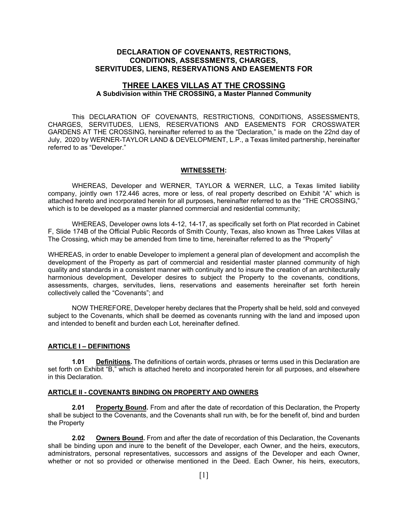#### **DECLARATION OF COVENANTS, RESTRICTIONS, CONDITIONS, ASSESSMENTS, CHARGES, SERVITUDES, LIENS, RESERVATIONS AND EASEMENTS FOR**

#### **THREE LAKES VILLAS AT THE CROSSING A Subdivision within THE CROSSING, a Master Planned Community**

 This DECLARATION OF COVENANTS, RESTRICTIONS, CONDITIONS, ASSESSMENTS, CHARGES, SERVITUDES, LIENS, RESERVATIONS AND EASEMENTS FOR CROSSWATER GARDENS AT THE CROSSING, hereinafter referred to as the "Declaration," is made on the 22nd day of July, 2020 by WERNER-TAYLOR LAND & DEVELOPMENT, L.P., a Texas limited partnership, hereinafter referred to as "Developer."

#### **WITNESSETH:**

 WHEREAS, Developer and WERNER, TAYLOR & WERNER, LLC, a Texas limited liability company, jointly own 172.446 acres, more or less, of real property described on Exhibit "A" which is attached hereto and incorporated herein for all purposes, hereinafter referred to as the "THE CROSSING," which is to be developed as a master planned commercial and residential community;

 WHEREAS, Developer owns lots 4-12, 14-17, as specifically set forth on Plat recorded in Cabinet F, Slide 174B of the Official Public Records of Smith County, Texas, also known as Three Lakes Villas at The Crossing, which may be amended from time to time, hereinafter referred to as the "Property"

WHEREAS, in order to enable Developer to implement a general plan of development and accomplish the development of the Property as part of commercial and residential master planned community of high quality and standards in a consistent manner with continuity and to insure the creation of an architecturally harmonious development, Developer desires to subject the Property to the covenants, conditions, assessments, charges, servitudes, liens, reservations and easements hereinafter set forth herein collectively called the "Covenants"; and

 NOW THEREFORE, Developer hereby declares that the Property shall be held, sold and conveyed subject to the Covenants, which shall be deemed as covenants running with the land and imposed upon and intended to benefit and burden each Lot, hereinafter defined.

#### **ARTICLE I – DEFINITIONS**

**1.01 Definitions.** The definitions of certain words, phrases or terms used in this Declaration are set forth on Exhibit "B," which is attached hereto and incorporated herein for all purposes, and elsewhere in this Declaration.

#### **ARTICLE II - COVENANTS BINDING ON PROPERTY AND OWNERS**

**2.01 Property Bound.** From and after the date of recordation of this Declaration, the Property shall be subject to the Covenants, and the Covenants shall run with, be for the benefit of, bind and burden the Property

**2.02 Owners Bound.** From and after the date of recordation of this Declaration, the Covenants shall be binding upon and inure to the benefit of the Developer, each Owner, and the heirs, executors, administrators, personal representatives, successors and assigns of the Developer and each Owner, whether or not so provided or otherwise mentioned in the Deed. Each Owner, his heirs, executors,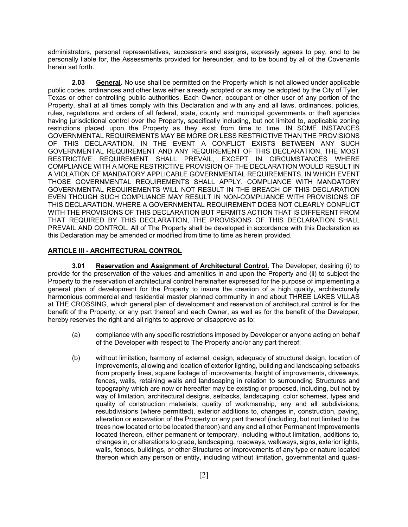administrators, personal representatives, successors and assigns, expressly agrees to pay, and to be personally liable for, the Assessments provided for hereunder, and to be bound by all of the Covenants herein set forth.

**2.03 General.** No use shall be permitted on the Property which is not allowed under applicable public codes, ordinances and other laws either already adopted or as may be adopted by the City of Tyler, Texas or other controlling public authorities. Each Owner, occupant or other user of any portion of the Property, shall at all times comply with this Declaration and with any and all laws, ordinances, policies, rules, regulations and orders of all federal, state, county and municipal governments or theft agencies having jurisdictional control over the Property, specifically including, but not limited to, applicable zoning restrictions placed upon the Property as they exist from time to time. IN SOME INSTANCES GOVERNMENTAL REQUIREMENTS MAY BE MORE OR LESS RESTRICTIVE THAN THE PROVISIONS OF THIS DECLARATION. IN THE EVENT A CONFLICT EXISTS BETWEEN ANY SUCH GOVERNMENTAL REQUIREMENT AND ANY REQUIREMENT OF THIS DECLARATION. THE MOST RESTRICTIVE REQUIREMENT SHALL PREVAIL, EXCEPT IN CIRCUMSTANCES WHERE COMPLIANCE WITH A MORE RESTRICTIVE PROVISION OF THE DECLARATION WOULD RESULT IN A VIOLATION OF MANDATORY APPLICABLE GOVERNMENTAL REQUIREMENTS, IN WHICH EVENT THOSE GOVERNMENTAL REQUIREMENTS SHALL APPLY. COMPLIANCE WITH MANDATORY GOVERNMENTAL REQUIREMENTS WILL NOT RESULT IN THE BREACH OF THIS DECLARATION EVEN THOUGH SUCH COMPLIANCE MAY RESULT IN NON-COMPLIANCE WITH PROVISIONS OF THIS DECLARATION. WHERE A GOVERNMENTAL REQUIREMENT DOES NOT CLEARLY CONFLICT WITH THE PROVISIONS OF THIS DECLARATION BUT PERMITS ACTION THAT IS DIFFERENT FROM THAT REQUIRED BY THIS DECLARATION, THE PROVISIONS OF THIS DECLARATION SHALL PREVAIL AND CONTROL. All of The Property shall be developed in accordance with this Declaration as this Declaration may be amended or modified from time to time as herein provided.

#### **ARTICLE III - ARCHITECTURAL CONTROL**

**3.01 Reservation and Assignment of Architectural Control.** The Developer, desiring (i) to provide for the preservation of the values and amenities in and upon the Property and (ii) to subject the Property to the reservation of architectural control hereinafter expressed for the purpose of implementing a general plan of development for the Property to insure the creation of a high quality, architecturally harmonious commercial and residential master planned community in and about THREE LAKES VILLAS at THE CROSSING, which general plan of development and reservation of architectural control is for the benefit of the Property, or any part thereof and each Owner, as well as for the benefit of the Developer, hereby reserves the right and all rights to approve or disapprove as to:

- (a) compliance with any specific restrictions imposed by Developer or anyone acting on behalf of the Developer with respect to The Property and/or any part thereof;
- (b) without limitation, harmony of external, design, adequacy of structural design, location of improvements, allowing and location of exterior lighting, building and landscaping setbacks from property lines, square footage of improvements, height of improvements, driveways, fences, walls, retaining walls and landscaping in relation to surrounding Structures and topography which are now or hereafter may be existing or proposed, including, but not by way of limitation, architectural designs, setbacks, landscaping, color schemes, types and quality of construction materials, quality of workmanship, any and all subdivisions, resubdivisions (where permitted), exterior additions to, changes in, construction, paving, alteration or excavation of the Property or any part thereof (including, but not limited to the trees now located or to be located thereon) and any and all other Permanent Improvements located thereon, either permanent or temporary, including without limitation, additions to, changes in, or alterations to grade, landscaping, roadways, walkways, signs, exterior lights, walls, fences, buildings, or other Structures or improvements of any type or nature located thereon which any person or entity, including without limitation, governmental and quasi-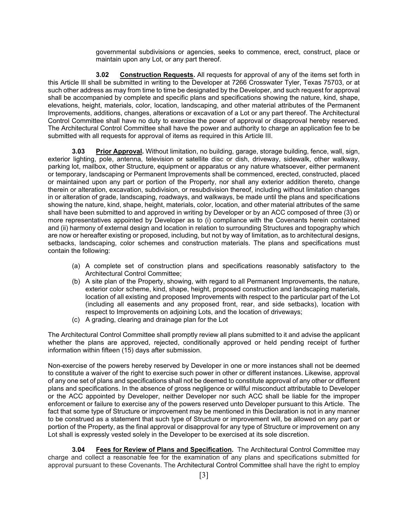governmental subdivisions or agencies, seeks to commence, erect, construct, place or maintain upon any Lot, or any part thereof.

 **3.02 Construction Requests.** All requests for approval of any of the items set forth in this Article Ill shall be submitted in writing to the Developer at 7266 Crosswater Tyler, Texas 75703, or at such other address as may from time to time be designated by the Developer, and such request for approval shall be accompanied by complete and specific plans and specifications showing the nature, kind, shape, elevations, height, materials, color, location, landscaping, and other material attributes of the Permanent Improvements, additions, changes, alterations or excavation of a Lot or any part thereof. The Architectural Control Committee shall have no duty to exercise the power of approval or disapproval hereby reserved. The Architectural Control Committee shall have the power and authority to charge an application fee to be submitted with all requests for approval of items as required in this Article III.

**3.03 Prior Approval.** Without limitation, no building, garage, storage building, fence, wall, sign, exterior lighting, pole, antenna, television or satellite disc or dish, driveway, sidewalk, other walkway, parking lot, mailbox, other Structure, equipment or apparatus or any nature whatsoever, either permanent or temporary, landscaping or Permanent Improvements shall be commenced, erected, constructed, placed or maintained upon any part or portion of the Property, nor shall any exterior addition thereto, change therein or alteration, excavation, subdivision, or resubdivision thereof, including without limitation changes in or alteration of grade, landscaping, roadways, and walkways, be made until the plans and specifications showing the nature, kind, shape, height, materials, color, location, and other material attributes of the same shall have been submitted to and approved in writing by Developer or by an ACC composed of three (3) or more representatives appointed by Developer as to (i) compliance with the Covenants herein contained and (ii) harmony of external design and location in relation to surrounding Structures and topography which are now or hereafter existing or proposed, including, but not by way of limitation, as to architectural designs, setbacks, landscaping, color schemes and construction materials. The plans and specifications must contain the following:

- (a) A complete set of construction plans and specifications reasonably satisfactory to the Architectural Control Committee;
- (b) A site plan of the Property, showing, with regard to all Permanent Improvements, the nature, exterior color scheme, kind, shape, height, proposed construction and landscaping materials, location of all existing and proposed Improvements with respect to the particular part of the Lot (including all easements and any proposed front, rear, and side setbacks), location with respect to Improvements on adjoining Lots, and the location of driveways;
- (c) A grading, clearing and drainage plan for the Lot

The Architectural Control Committee shall promptly review all plans submitted to it and advise the applicant whether the plans are approved, rejected, conditionally approved or held pending receipt of further information within fifteen (15) days after submission.

Non-exercise of the powers hereby reserved by Developer in one or more instances shall not be deemed to constitute a waiver of the right to exercise such power in other or different instances. Likewise, approval of any one set of plans and specifications shall not be deemed to constitute approval of any other or different plans and specifications. In the absence of gross negligence or willful misconduct attributable to Developer or the ACC appointed by Developer, neither Developer nor such ACC shall be liable for the improper enforcement or failure to exercise any of the powers reserved unto Developer pursuant to this Article. The fact that some type of Structure or improvement may be mentioned in this Declaration is not in any manner to be construed as a statement that such type of Structure or improvement will, be allowed on any part or portion of the Property, as the final approval or disapproval for any type of Structure or improvement on any Lot shall is expressly vested solely in the Developer to be exercised at its sole discretion.

**3.04 Fees for Review of Plans and Specification.** The Architectural Control Committee may charge and collect a reasonable fee for the examination of any plans and specifications submitted for approval pursuant to these Covenants. The Architectural Control Committee shall have the right to employ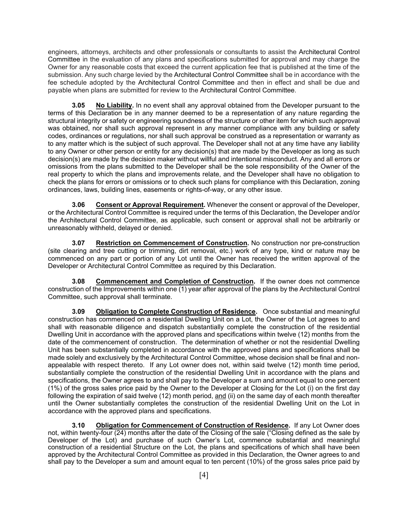engineers, attorneys, architects and other professionals or consultants to assist the Architectural Control Committee in the evaluation of any plans and specifications submitted for approval and may charge the Owner for any reasonable costs that exceed the current application fee that is published at the time of the submission. Any such charge levied by the Architectural Control Committee shall be in accordance with the fee schedule adopted by the Architectural Control Committee and then in effect and shall be due and payable when plans are submitted for review to the Architectural Control Committee.

**3.05 No Liability.** In no event shall any approval obtained from the Developer pursuant to the terms of this Declaration be in any manner deemed to be a representation of any nature regarding the structural integrity or safety or engineering soundness of the structure or other item for which such approval was obtained, nor shall such approval represent in any manner compliance with any building or safety codes, ordinances or regulations, nor shall such approval be construed as a representation or warranty as to any matter which is the subject of such approval. The Developer shall not at any time have any liability to any Owner or other person or entity for any decision(s) that are made by the Developer as long as such decision(s) are made by the decision maker without willful and intentional misconduct. Any and all errors or omissions from the plans submitted to the Developer shall be the sole responsibility of the Owner of the real property to which the plans and improvements relate, and the Developer shall have no obligation to check the plans for errors or omissions or to check such plans for compliance with this Declaration, zoning ordinances, laws, building lines, easements or rights-of-way, or any other issue.

**3.06 Consent or Approval Requirement.** Whenever the consent or approval of the Developer, or the Architectural Control Committee is required under the terms of this Declaration, the Developer and/or the Architectural Control Committee, as applicable, such consent or approval shall not be arbitrarily or unreasonably withheld, delayed or denied.

**3.07 Restriction on Commencement of Construction.** No construction nor pre-construction (site clearing and tree cutting or trimming, dirt removal, etc.) work of any type, kind or nature may be commenced on any part or portion of any Lot until the Owner has received the written approval of the Developer or Architectural Control Committee as required by this Declaration.

**3.08 Commencement and Completion of Construction.** If the owner does not commence construction of the Improvements within one (1) year after approval of the plans by the Architectural Control Committee, such approval shall terminate.

**3.09 Obligation to Complete Construction of Residence.** Once substantial and meaningful construction has commenced on a residential Dwelling Unit on a Lot, the Owner of the Lot agrees to and shall with reasonable diligence and dispatch substantially complete the construction of the residential Dwelling Unit in accordance with the approved plans and specifications within twelve (12) months from the date of the commencement of construction. The determination of whether or not the residential Dwelling Unit has been substantially completed in accordance with the approved plans and specifications shall be made solely and exclusively by the Architectural Control Committee, whose decision shall be final and nonappealable with respect thereto. If any Lot owner does not, within said twelve (12) month time period, substantially complete the construction of the residential Dwelling Unit in accordance with the plans and specifications, the Owner agrees to and shall pay to the Developer a sum and amount equal to one percent (1%) of the gross sales price paid by the Owner to the Developer at Closing for the Lot (i) on the first day following the expiration of said twelve (12) month period, and (ii) on the same day of each month thereafter until the Owner substantially completes the construction of the residential Dwelling Unit on the Lot in accordance with the approved plans and specifications.

**3.10 Obligation for Commencement of Construction of Residence.** If any Lot Owner does not, within twenty-four (24) months after the date of the Closing of the sale ("Closing defined as the sale by Developer of the Lot) and purchase of such Owner's Lot, commence substantial and meaningful construction of a residential Structure on the Lot, the plans and specifications of which shall have been approved by the Architectural Control Committee as provided in this Declaration, the Owner agrees to and shall pay to the Developer a sum and amount equal to ten percent (10%) of the gross sales price paid by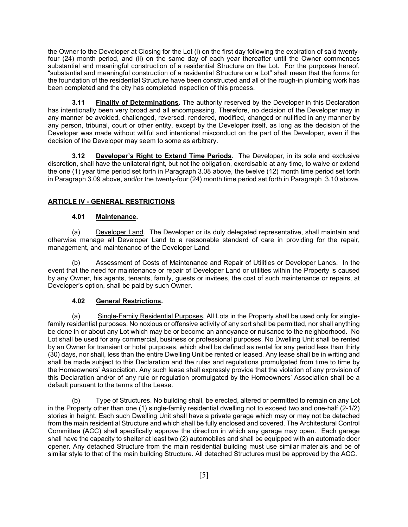the Owner to the Developer at Closing for the Lot (i) on the first day following the expiration of said twentyfour (24) month period, and (ii) on the same day of each year thereafter until the Owner commences substantial and meaningful construction of a residential Structure on the Lot. For the purposes hereof, "substantial and meaningful construction of a residential Structure on a Lot" shall mean that the forms for the foundation of the residential Structure have been constructed and all of the rough-in plumbing work has been completed and the city has completed inspection of this process.

**3.11 Finality of Determinations.** The authority reserved by the Developer in this Declaration has intentionally been very broad and all encompassing. Therefore, no decision of the Developer may in any manner be avoided, challenged, reversed, rendered, modified, changed or nullified in any manner by any person, tribunal, court or other entity, except by the Developer itself, as long as the decision of the Developer was made without willful and intentional misconduct on the part of the Developer, even if the decision of the Developer may seem to some as arbitrary.

**3.12 Developer's Right to Extend Time Periods**. The Developer, in its sole and exclusive discretion, shall have the unilateral right, but not the obligation, exercisable at any time, to waive or extend the one (1) year time period set forth in Paragraph 3.08 above, the twelve (12) month time period set forth in Paragraph 3.09 above, and/or the twenty-four (24) month time period set forth in Paragraph 3.10 above.

#### **ARTICLE IV - GENERAL RESTRICTIONS**

#### **4.01 Maintenance.**

 (a) Developer Land. The Developer or its duly delegated representative, shall maintain and otherwise manage all Developer Land to a reasonable standard of care in providing for the repair, management, and maintenance of the Developer Land.

 (b) Assessment of Costs of Maintenance and Repair of Utilities or Developer Lands. In the event that the need for maintenance or repair of Developer Land or utilities within the Property is caused by any Owner, his agents, tenants, family, guests or invitees, the cost of such maintenance or repairs, at Developer's option, shall be paid by such Owner.

#### **4.02 General Restrictions.**

 (a) Single-Family Residential Purposes, All Lots in the Property shall be used only for singlefamily residential purposes. No noxious or offensive activity of any sort shall be permitted, nor shall anything be done in or about any Lot which may be or become an annoyance or nuisance to the neighborhood. No Lot shall be used for any commercial, business or professional purposes. No Dwelling Unit shall be rented by an Owner for transient or hotel purposes, which shall be defined as rental for any period less than thirty (30) days, nor shall, less than the entire Dwelling Unit be rented or leased. Any lease shall be in writing and shall be made subject to this Declaration and the rules and regulations promulgated from time to time by the Homeowners' Association. Any such lease shall expressly provide that the violation of any provision of this Declaration and/or of any rule or regulation promulgated by the Homeowners' Association shall be a default pursuant to the terms of the Lease.

 (b) Type of Structures. No building shall, be erected, altered or permitted to remain on any Lot in the Property other than one (1) single-family residential dwelling not to exceed two and one-half (2-1/2) stories in height. Each such Dwelling Unit shall have a private garage which may or may not be detached from the main residential Structure and which shall be fully enclosed and covered. The Architectural Control Committee (ACC) shall specifically approve the direction in which any garage may open. Each garage shall have the capacity to shelter at least two (2) automobiles and shall be equipped with an automatic door opener. Any detached Structure from the main residential building must use similar materials and be of similar style to that of the main building Structure. All detached Structures must be approved by the ACC.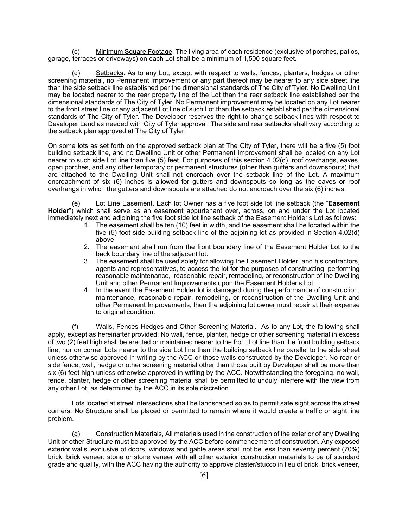(c) Minimum Square Footage. The living area of each residence (exclusive of porches, patios, garage, terraces or driveways) on each Lot shall be a minimum of 1,500 square feet.

(d) Setbacks. As to any Lot, except with respect to walls, fences, planters, hedges or other screening material, no Permanent Improvement or any part thereof may be nearer to any side street line than the side setback line established per the dimensional standards of The City of Tyler. No Dwelling Unit may be located nearer to the rear property line of the Lot than the rear setback line established per the dimensional standards of The City of Tyler. No Permanent improvement may be located on any Lot nearer to the front street line or any adjacent Lot line of such Lot than the setback established per the dimensional standards of The City of Tyler. The Developer reserves the right to change setback lines with respect to Developer Land as needed with City of Tyler approval. The side and rear setbacks shall vary according to the setback plan approved at The City of Tyler.

On some lots as set forth on the approved setback plan at The City of Tyler, there will be a five (5) foot building setback line, and no Dwelling Unit or other Permanent Improvement shall be located on any Lot nearer to such side Lot line than five (5) feet. For purposes of this section 4.02(d), roof overhangs, eaves, open porches, and any other temporary or permanent structures (other than gutters and downspouts) that are attached to the Dwelling Unit shall not encroach over the setback line of the Lot. A maximum encroachment of six (6) inches is allowed for gutters and downspouts so long as the eaves or roof overhangs in which the gutters and downspouts are attached do not encroach over the six (6) inches.

(e) Lot Line Easement. Each lot Owner has a five foot side lot line setback (the "**Easement Holder**") which shall serve as an easement appurtenant over, across, on and under the Lot located immediately next and adjoining the five foot side lot line setback of the Easement Holder's Lot as follows:

- 1. The easement shall be ten (10) feet in width, and the easement shall be located within the five (5) foot side building setback line of the adjoining lot as provided in Section 4.02(d) above.
- 2. The easement shall run from the front boundary line of the Easement Holder Lot to the back boundary line of the adjacent lot.
- 3. The easement shall be used solely for allowing the Easement Holder, and his contractors, agents and representatives, to access the lot for the purposes of constructing, performing reasonable maintenance, reasonable repair, remodeling, or reconstruction of the Dwelling Unit and other Permanent Improvements upon the Easement Holder's Lot.
- 4. In the event the Easement Holder lot is damaged during the performance of construction, maintenance, reasonable repair, remodeling, or reconstruction of the Dwelling Unit and other Permanent Improvements, then the adjoining lot owner must repair at their expense to original condition.

(f) Walls, Fences Hedges and Other Screening Material. As to any Lot, the following shall apply, except as hereinafter provided: No wall, fence, planter, hedge or other screening material in excess of two (2) feet high shall be erected or maintained nearer to the front Lot line than the front building setback line, nor on corner Lots nearer to the side Lot line than the building setback line parallel to the side street unless otherwise approved in writing by the ACC or those walls constructed by the Developer. No rear or side fence, wall, hedge or other screening material other than those built by Developer shall be more than six (6) feet high unless otherwise approved in writing by the ACC. Notwithstanding the foregoing, no wall, fence, planter, hedge or other screening material shall be permitted to unduly interfere with the view from any other Lot, as determined by the ACC in its sole discretion.

 Lots located at street intersections shall be landscaped so as to permit safe sight across the street corners. No Structure shall be placed or permitted to remain where it would create a traffic or sight line problem.

(g) Construction Materials, All materials used in the construction of the exterior of any Dwelling Unit or other Structure must be approved by the ACC before commencement of construction. Any exposed exterior walls, exclusive of doors, windows and gable areas shall not be less than seventy percent (70%) brick, brick veneer, stone or stone veneer with all other exterior construction materials to be of standard grade and quality, with the ACC having the authority to approve plaster/stucco in lieu of brick, brick veneer,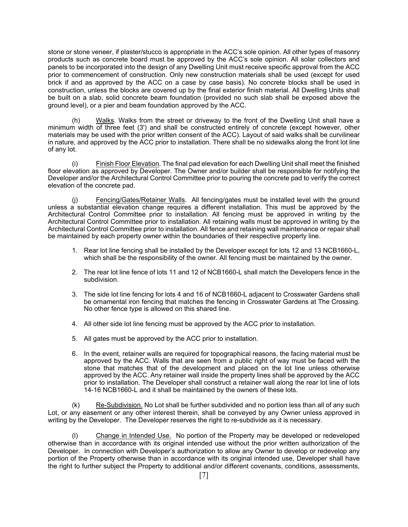stone or stone veneer, if plaster/stucco is appropriate in the ACC's sole opinion. All other types of masonry products such as concrete board must be approved by the ACC's sole opinion. All solar collectors and panels to be incorporated into the design of any Dwelling Unit must receive specific approval from the ACC prior to commencement of construction. Only new construction materials shall be used (except for used brick if and as approved by the ACC on a case by case basis). No concrete blocks shall be used in construction, unless the blocks are covered up by the final exterior finish material. All Dwelling Units shall be built on a slab, solid concrete beam foundation (provided no such slab shall be exposed above the ground level), or a pier and beam foundation approved by the ACC.

 (h) Walks. Walks from the street or driveway to the front of the Dwelling Unit shall have a minimum width of three feet (3') and shall be constructed entirely of concrete (except however, other materials may be used with the prior written consent of the ACC). Layout of said walks shall be curvilinear in nature, and approved by the ACC prior to installation. There shall be no sidewalks along the front lot line of any lot.

Finish Floor Elevation. The final pad elevation for each Dwelling Unit shall meet the finished floor elevation as approved by Developer. The Owner and/or builder shall be responsible for notifying the Developer and/or the Architectural Control Committee prior to pouring the concrete pad to verify the correct elevation of the concrete pad.

(j) Fencing/Gates/Retainer Walls. All fencing/gates must be installed level with the ground unless a substantial elevation change requires a different installation. This must be approved by the Architectural Control Committee prior to installation. All fencing must be approved in writing by the Architectural Control Committee prior to installation. All retaining walls must be approved in writing by the Architectural Control Committee prior to installation. All fence and retaining wall maintenance or repair shall be maintained by each property owner within the boundaries of their respective property line.

- 1. Rear lot line fencing shall be installed by the Developer except for lots 12 and 13 NCB1660-L, which shall be the responsibility of the owner. All fencing must be maintained by the owner.
- 2. The rear lot line fence of lots 11 and 12 of NCB1660-L shall match the Developers fence in the subdivision.
- 3. The side lot line fencing for lots 4 and 16 of NCB1660-L adjacent to Crosswater Gardens shall be ornamental iron fencing that matches the fencing in Crosswater Gardens at The Crossing. No other fence type is allowed on this shared line.
- 4. All other side lot line fencing must be approved by the ACC prior to installation.
- 5. All gates must be approved by the ACC prior to installation.
- 6. In the event, retainer walls are required for topographical reasons, the facing material must be approved by the ACC. Walls that are seen from a public right of way must be faced with the stone that matches that of the development and placed on the lot line unless otherwise approved by the ACC. Any retainer wall inside the property lines shall be approved by the ACC prior to installation. The Developer shall construct a retainer wall along the rear lot line of lots 14-16 NCB1660-L and it shall be maintained by the owners of these lots.

(k) Re-Subdivision. No Lot shall be further subdivided and no portion less than all of any such Lot, or any easement or any other interest therein, shall be conveyed by any Owner unless approved in writing by the Developer. The Developer reserves the right to re-subdivide as it is necessary.

(l) Change in Intended Use. No portion of the Property may be developed or redeveloped otherwise than in accordance with its original intended use without the prior written authorization of the Developer. In connection with Developer's authorization to allow any Owner to develop or redevelop any portion of the Property otherwise than in accordance with its original intended use, Developer shall have the right to further subject the Property to additional and/or different covenants, conditions, assessments,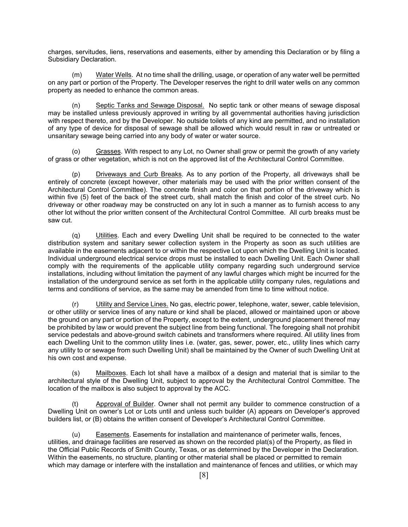charges, servitudes, liens, reservations and easements, either by amending this Declaration or by filing a Subsidiary Declaration.

 (m) Water Wells. At no time shall the drilling, usage, or operation of any water well be permitted on any part or portion of the Property. The Developer reserves the right to drill water wells on any common property as needed to enhance the common areas.

 (n) Septic Tanks and Sewage Disposal. No septic tank or other means of sewage disposal may be installed unless previously approved in writing by all governmental authorities having jurisdiction with respect thereto, and by the Developer. No outside toilets of any kind are permitted, and no installation of any type of device for disposal of sewage shall be allowed which would result in raw or untreated or unsanitary sewage being carried into any body of water or water source.

 (o) Grasses. With respect to any Lot, no Owner shall grow or permit the growth of any variety of grass or other vegetation, which is not on the approved list of the Architectural Control Committee.

(p) Driveways and Curb Breaks. As to any portion of the Property, all driveways shall be entirely of concrete (except however, other materials may be used with the prior written consent of the Architectural Control Committee). The concrete finish and color on that portion of the driveway which is within five (5) feet of the back of the street curb, shall match the finish and color of the street curb. No driveway or other roadway may be constructed on any lot in such a manner as to furnish access to any other lot without the prior written consent of the Architectural Control Committee. All curb breaks must be saw cut.

 (q) Utilities. Each and every Dwelling Unit shall be required to be connected to the water distribution system and sanitary sewer collection system in the Property as soon as such utilities are available in the easements adjacent to or within the respective Lot upon which the Dwelling Unit is located. Individual underground electrical service drops must be installed to each Dwelling Unit. Each Owner shall comply with the requirements of the applicable utility company regarding such underground service installations, including without limitation the payment of any lawful charges which might be incurred for the installation of the underground service as set forth in the applicable utility company rules, regulations and terms and conditions of service, as the same may be amended from time to time without notice.

 (r) Utility and Service Lines. No gas, electric power, telephone, water, sewer, cable television, or other utility or service lines of any nature or kind shall be placed, allowed or maintained upon or above the ground on any part or portion of the Property, except to the extent, underground placement thereof may be prohibited by law or would prevent the subject line from being functional. The foregoing shall not prohibit service pedestals and above-ground switch cabinets and transformers where required. All utility lines from each Dwelling Unit to the common utility lines i.e. (water, gas, sewer, power, etc., utility lines which carry any utility to or sewage from such Dwelling Unit) shall be maintained by the Owner of such Dwelling Unit at his own cost and expense.

(s) Mailboxes. Each lot shall have a mailbox of a design and material that is similar to the architectural style of the Dwelling Unit, subject to approval by the Architectural Control Committee. The location of the mailbox is also subject to approval by the ACC.

Approval of Builder. Owner shall not permit any builder to commence construction of a Dwelling Unit on owner's Lot or Lots until and unless such builder (A) appears on Developer's approved builders list, or (B) obtains the written consent of Developer's Architectural Control Committee.

 (u) Easements. Easements for installation and maintenance of perimeter walls, fences, utilities, and drainage facilities are reserved as shown on the recorded plat(s) of the Property, as filed in the Official Public Records of Smith County, Texas, or as determined by the Developer in the Declaration. Within the easements, no structure, planting or other material shall be placed or permitted to remain which may damage or interfere with the installation and maintenance of fences and utilities, or which may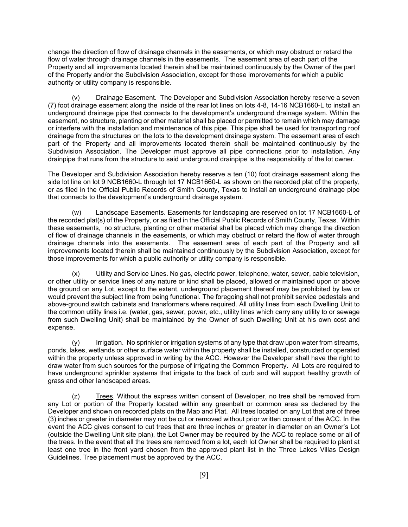change the direction of flow of drainage channels in the easements, or which may obstruct or retard the flow of water through drainage channels in the easements. The easement area of each part of the Property and all improvements located therein shall be maintained continuously by the Owner of the part of the Property and/or the Subdivision Association, except for those improvements for which a public authority or utility company is responsible.

Drainage Easement. The Developer and Subdivision Association hereby reserve a seven (7) foot drainage easement along the inside of the rear lot lines on lots 4-8, 14-16 NCB1660-L to install an underground drainage pipe that connects to the development's underground drainage system. Within the easement, no structure, planting or other material shall be placed or permitted to remain which may damage or interfere with the installation and maintenance of this pipe. This pipe shall be used for transporting roof drainage from the structures on the lots to the development drainage system. The easement area of each part of the Property and all improvements located therein shall be maintained continuously by the Subdivision Association. The Developer must approve all pipe connections prior to installation. Any drainpipe that runs from the structure to said underground drainpipe is the responsibility of the lot owner.

The Developer and Subdivision Association hereby reserve a ten (10) foot drainage easement along the side lot line on lot 9 NCB1660-L through lot 17 NCB1660-L as shown on the recorded plat of the property, or as filed in the Official Public Records of Smith County, Texas to install an underground drainage pipe that connects to the development's underground drainage system.

 (w) Landscape Easements. Easements for landscaping are reserved on lot 17 NCB1660-L of the recorded plat(s) of the Property, or as filed in the Official Public Records of Smith County, Texas. Within these easements, no structure, planting or other material shall be placed which may change the direction of flow of drainage channels in the easements, or which may obstruct or retard the flow of water through drainage channels into the easements. The easement area of each part of the Property and all improvements located therein shall be maintained continuously by the Subdivision Association, except for those improvements for which a public authority or utility company is responsible.

 (x) Utility and Service Lines. No gas, electric power, telephone, water, sewer, cable television, or other utility or service lines of any nature or kind shall be placed, allowed or maintained upon or above the ground on any Lot, except to the extent, underground placement thereof may be prohibited by law or would prevent the subject line from being functional. The foregoing shall not prohibit service pedestals and above-ground switch cabinets and transformers where required. All utility lines from each Dwelling Unit to the common utility lines i.e. (water, gas, sewer, power, etc., utility lines which carry any utility to or sewage from such Dwelling Unit) shall be maintained by the Owner of such Dwelling Unit at his own cost and expense.

 (y) Irrigation. No sprinkler or irrigation systems of any type that draw upon water from streams, ponds, lakes, wetlands or other surface water within the property shall be installed, constructed or operated within the property unless approved in writing by the ACC. However the Developer shall have the right to draw water from such sources for the purpose of irrigating the Common Property. All Lots are required to have underground sprinkler systems that irrigate to the back of curb and will support healthy growth of grass and other landscaped areas.

 (z) Trees. Without the express written consent of Developer, no tree shall be removed from any Lot or portion of the Property located within any greenbelt or common area as declared by the Developer and shown on recorded plats on the Map and Plat. All trees located on any Lot that are of three (3) inches or greater in diameter may not be cut or removed without prior written consent of the ACC. In the event the ACC gives consent to cut trees that are three inches or greater in diameter on an Owner's Lot (outside the Dwelling Unit site plan), the Lot Owner may be required by the ACC to replace some or all of the trees. In the event that all the trees are removed from a lot, each lot Owner shall be required to plant at least one tree in the front yard chosen from the approved plant list in the Three Lakes Villas Design Guidelines. Tree placement must be approved by the ACC.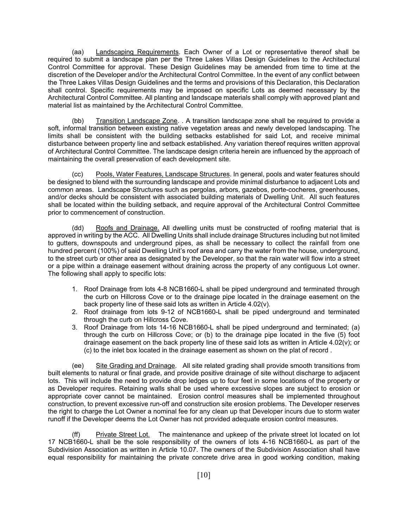(aa) Landscaping Requirements. Each Owner of a Lot or representative thereof shall be required to submit a landscape plan per the Three Lakes Villas Design Guidelines to the Architectural Control Committee for approval. These Design Guidelines may be amended from time to time at the discretion of the Developer and/or the Architectural Control Committee. In the event of any conflict between the Three Lakes Villas Design Guidelines and the terms and provisions of this Declaration, this Declaration shall control. Specific requirements may be imposed on specific Lots as deemed necessary by the Architectural Control Committee. All planting and landscape materials shall comply with approved plant and material list as maintained by the Architectural Control Committee.

 (bb) Transition Landscape Zone. . A transition landscape zone shall be required to provide a soft, informal transition between existing native vegetation areas and newly developed landscaping. The limits shall be consistent with the building setbacks established for said Lot, and receive minimal disturbance between property line and setback established. Any variation thereof requires written approval of Architectural Control Committee. The landscape design criteria herein are influenced by the approach of maintaining the overall preservation of each development site.

 (cc) Pools, Water Features, Landscape Structures. In general, pools and water features should be designed to blend with the surrounding landscape and provide minimal disturbance to adjacent Lots and common areas. Landscape Structures such as pergolas, arbors, gazebos, porte-cocheres, greenhouses, and/or decks should be consistent with associated building materials of Dwelling Unit. All such features shall be located within the building setback, and require approval of the Architectural Control Committee prior to commencement of construction.

 (dd) Roofs and Drainage. All dwelling units must be constructed of roofing material that is approved in writing by the ACC. All Dwelling Units shall include drainage Structures including but not limited to gutters, downspouts and underground pipes, as shall be necessary to collect the rainfall from one hundred percent (100%) of said Dwelling Unit's roof area and carry the water from the house, underground, to the street curb or other area as designated by the Developer, so that the rain water will flow into a street or a pipe within a drainage easement without draining across the property of any contiguous Lot owner. The following shall apply to specific lots:

- 1. Roof Drainage from lots 4-8 NCB1660-L shall be piped underground and terminated through the curb on Hillcross Cove or to the drainage pipe located in the drainage easement on the back property line of these said lots as written in Article 4.02(v).
- 2. Roof drainage from lots 9-12 of NCB1660-L shall be piped underground and terminated through the curb on Hillcross Cove.
- 3. Roof Drainage from lots 14-16 NCB1660-L shall be piped underground and terminated; (a) through the curb on Hillcross Cove; or (b) to the drainage pipe located in the five (5) foot drainage easement on the back property line of these said lots as written in Article 4.02(v); or (c) to the inlet box located in the drainage easement as shown on the plat of record .

(ee) Site Grading and Drainage. All site related grading shall provide smooth transitions from built elements to natural or final grade, and provide positive drainage of site without discharge to adjacent lots. This will include the need to provide drop ledges up to four feet in some locations of the property or as Developer requires. Retaining walls shall be used where excessive slopes are subject to erosion or appropriate cover cannot be maintained. Erosion control measures shall be implemented throughout construction, to prevent excessive run-off and construction site erosion problems. The Developer reserves the right to charge the Lot Owner a nominal fee for any clean up that Developer incurs due to storm water runoff if the Developer deems the Lot Owner has not provided adequate erosion control measures.

(ff) Private Street Lot. The maintenance and upkeep of the private street lot located on lot 17 NCB1660-L shall be the sole responsibility of the owners of lots 4-16 NCB1660-L as part of the Subdivision Association as written in Article 10.07. The owners of the Subdivision Association shall have equal responsibility for maintaining the private concrete drive area in good working condition, making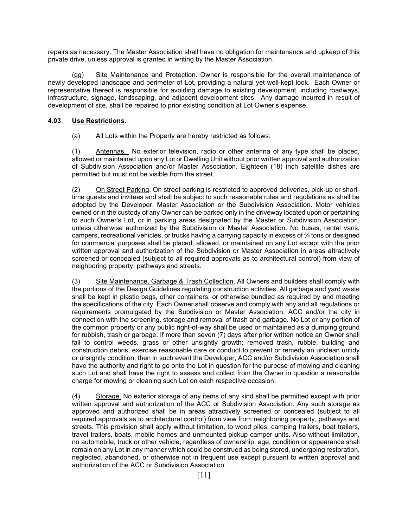repairs as necessary. The Master Association shall have no obligation for maintenance and upkeep of this private drive, unless approval is granted in writing by the Master Association.

 (gg) Site Maintenance and Protection. Owner is responsible for the overall maintenance of newly developed landscape and perimeter of Lot, providing a natural yet well-kept look. Each Owner or representative thereof is responsible for avoiding damage to existing development, including roadways, infrastructure, signage, landscaping, and adjacent development sites. Any damage incurred in result of development of site, shall be repaired to prior existing condition at Lot Owner's expense.

#### **4.03 Use Restrictions.**

(a) All Lots within the Property are hereby restricted as follows:

(1) Antennas. No exterior television, radio or other antenna of any type shall be placed, allowed or maintained upon any Lot or Dwelling Unit without prior written approval and authorization of Subdivision Association and/or Master Association. Eighteen (18) inch satellite dishes are permitted but must not be visible from the street.

(2) On Street Parking. On street parking is restricted to approved deliveries, pick-up or shorttime guests and invitees and shall be subject to such reasonable rules and regulations as shall be adopted by the Developer, Master Association or the Subdivision Association. Motor vehicles owned or in the custody of any Owner can be parked only in the driveway located upon or pertaining to such Owner's Lot, or in parking areas designated by the Master or Subdivision Association, unless otherwise authorized by the Subdivision or Master Association. No buses, rental vans, campers, recreational vehicles, or trucks having a carrying capacity in excess of  $\frac{3}{4}$  tons or designed for commercial purposes shall be placed, allowed, or maintained on any Lot except with the prior written approval and authorization of the Subdivision or Master Association in areas attractively screened or concealed (subject to all required approvals as to architectural control) from view of neighboring property, pathways and streets.

(3) Site Maintenance, Garbage & Trash Collection. All Owners and builders shall comply with the portions of the Design Guidelines regulating construction activities. All garbage and yard waste shall be kept in plastic bags, other containers, or otherwise bundled as required by and meeting the specifications of the city. Each Owner shall observe and comply with any and all regulations or requirements promulgated by the Subdivision or Master Association, ACC and/or the city in connection with the screening, storage and removal of trash and garbage. No Lot or any portion of the common property or any public right-of-way shall be used or maintained as a dumping ground for rubbish, trash or garbage. If more than seven (7) days after prior written notice an Owner shall fail to control weeds, grass or other unsightly growth; removed trash, rubble, building and construction debris; exercise reasonable care or conduct to prevent or remedy an unclean untidy or unsightly condition, then in such event the Developer, ACC and/or Subdivision Association shall have the authority and right to go onto the Lot in question for the purpose of mowing and cleaning such Lot and shall have the right to assess and collect from the Owner in question a reasonable charge for mowing or cleaning such Lot on each respective occasion.

(4) Storage. No exterior storage of any items of any kind shall be permitted except with prior written approval and authorization of the ACC or Subdivision Association. Any such storage as approved and authorized shall be in areas attractively screened or concealed (subject to all required approvals as to architectural control) from view from neighboring property, pathways and streets. This provision shall apply without limitation, to wood piles, camping trailers, boat trailers, travel trailers, boats, mobile homes and unmounted pickup camper units. Also without limitation, no automobile, truck or other vehicle, regardless of ownership, age, condition or appearance shall remain on any Lot in any manner which could be construed as being stored, undergoing restoration, neglected, abandoned, or otherwise not in frequent use except pursuant to written approval and authorization of the ACC or Subdivision Association.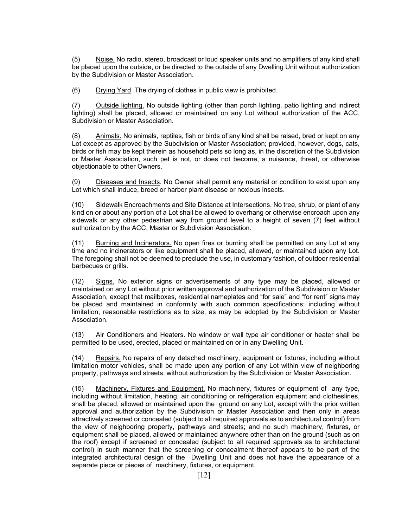(5) Noise. No radio, stereo, broadcast or loud speaker units and no amplifiers of any kind shall be placed upon the outside, or be directed to the outside of any Dwelling Unit without authorization by the Subdivision or Master Association.

(6) Drying Yard. The drying of clothes in public view is prohibited.

(7) Outside lighting. No outside lighting (other than porch lighting, patio lighting and indirect lighting) shall be placed, allowed or maintained on any Lot without authorization of the ACC, Subdivision or Master Association.

(8) Animals. No animals, reptiles, fish or birds of any kind shall be raised, bred or kept on any Lot except as approved by the Subdivision or Master Association; provided, however, dogs, cats, birds or fish may be kept therein as household pets so long as, in the discretion of the Subdivision or Master Association, such pet is not, or does not become, a nuisance, threat, or otherwise objectionable to other Owners.

(9) Diseases and Insects. No Owner shall permit any material or condition to exist upon any Lot which shall induce, breed or harbor plant disease or noxious insects.

(10) Sidewalk Encroachments and Site Distance at Intersections. No tree, shrub, or plant of any kind on or about any portion of a Lot shall be allowed to overhang or otherwise encroach upon any sidewalk or any other pedestrian way from ground level to a height of seven (7) feet without authorization by the ACC, Master or Subdivision Association.

(11) Burning and Incinerators. No open fires or burning shall be permitted on any Lot at any time and no incinerators or like equipment shall be placed, allowed, or maintained upon any Lot. The foregoing shall not be deemed to preclude the use, in customary fashion, of outdoor residential barbecues or grills.

(12) Signs. No exterior signs or advertisements of any type may be placed, allowed or maintained on any Lot without prior written approval and authorization of the Subdivision or Master Association, except that mailboxes, residential nameplates and "for sale" and "for rent" signs may be placed and maintained in conformity with such common specifications; including without limitation, reasonable restrictions as to size, as may be adopted by the Subdivision or Master Association.

(13) Air Conditioners and Heaters. No window or wall type air conditioner or heater shall be permitted to be used, erected, placed or maintained on or in any Dwelling Unit.

(14) Repairs. No repairs of any detached machinery, equipment or fixtures, including without limitation motor vehicles, shall be made upon any portion of any Lot within view of neighboring property, pathways and streets, without authorization by the Subdivision or Master Association.

(15) Machinery, Fixtures and Equipment. No machinery, fixtures or equipment of any type, including without limitation, heating, air conditioning or refrigeration equipment and clotheslines, shall be placed, allowed or maintained upon the ground on any Lot, except with the prior written approval and authorization by the Subdivision or Master Association and then only in areas attractively screened or concealed (subject to all required approvals as to architectural control) from the view of neighboring property, pathways and streets; and no such machinery, fixtures, or equipment shall be placed, allowed or maintained anywhere other than on the ground (such as on the roof) except if screened or concealed (subject to all required approvals as to architectural control) in such manner that the screening or concealment thereof appears to be part of the integrated architectural design of the Dwelling Unit and does not have the appearance of a separate piece or pieces of machinery, fixtures, or equipment.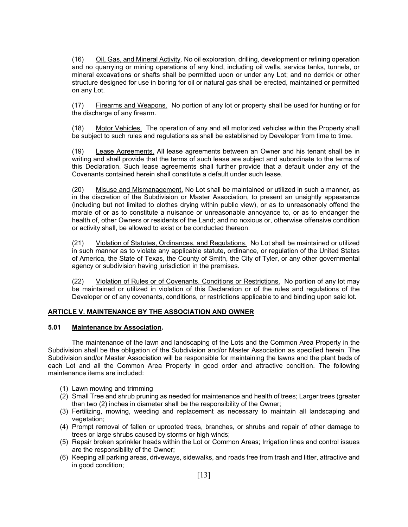(16) Oil, Gas, and Mineral Activity. No oil exploration, drilling, development or refining operation and no quarrying or mining operations of any kind, including oil wells, service tanks, tunnels, or mineral excavations or shafts shall be permitted upon or under any Lot; and no derrick or other structure designed for use in boring for oil or natural gas shall be erected, maintained or permitted on any Lot.

(17) Firearms and Weapons. No portion of any lot or property shall be used for hunting or for the discharge of any firearm.

(18) Motor Vehicles. The operation of any and all motorized vehicles within the Property shall be subject to such rules and regulations as shall be established by Developer from time to time.

(19) Lease Agreements. All lease agreements between an Owner and his tenant shall be in writing and shall provide that the terms of such lease are subject and subordinate to the terms of this Declaration. Such lease agreements shall further provide that a default under any of the Covenants contained herein shall constitute a default under such lease.

(20) Misuse and Mismanagement. No Lot shall be maintained or utilized in such a manner, as in the discretion of the Subdivision or Master Association, to present an unsightly appearance (including but not limited to clothes drying within public view), or as to unreasonably offend the morale of or as to constitute a nuisance or unreasonable annoyance to, or as to endanger the health of, other Owners or residents of the Land; and no noxious or, otherwise offensive condition or activity shall, be allowed to exist or be conducted thereon.

(21) Violation of Statutes, Ordinances, and Regulations. No Lot shall be maintained or utilized in such manner as to violate any applicable statute, ordinance, or regulation of the United States of America, the State of Texas, the County of Smith, the City of Tyler, or any other governmental agency or subdivision having jurisdiction in the premises.

(22) Violation of Rules or of Covenants. Conditions or Restrictions. No portion of any lot may be maintained or utilized in violation of this Declaration or of the rules and regulations of the Developer or of any covenants, conditions, or restrictions applicable to and binding upon said lot.

#### **ARTICLE V. MAINTENANCE BY THE ASSOCIATION AND OWNER**

#### **5.01 Maintenance by Association.**

 The maintenance of the lawn and landscaping of the Lots and the Common Area Property in the Subdivision shall be the obligation of the Subdivision and/or Master Association as specified herein. The Subdivision and/or Master Association will be responsible for maintaining the lawns and the plant beds of each Lot and all the Common Area Property in good order and attractive condition. The following maintenance items are included:

- (1) Lawn mowing and trimming
- (2) Small Tree and shrub pruning as needed for maintenance and health of trees; Larger trees (greater than two (2) inches in diameter shall be the responsibility of the Owner;
- (3) Fertilizing, mowing, weeding and replacement as necessary to maintain all landscaping and vegetation;
- (4) Prompt removal of fallen or uprooted trees, branches, or shrubs and repair of other damage to trees or large shrubs caused by storms or high winds;
- (5) Repair broken sprinkler heads within the Lot or Common Areas; Irrigation lines and control issues are the responsibility of the Owner;
- (6) Keeping all parking areas, driveways, sidewalks, and roads free from trash and litter, attractive and in good condition;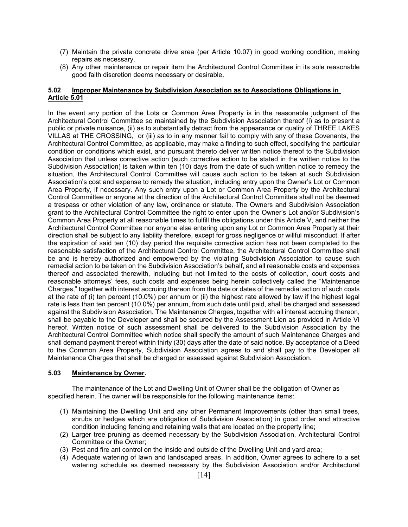- (7) Maintain the private concrete drive area (per Article 10.07) in good working condition, making repairs as necessary.
- (8) Any other maintenance or repair item the Architectural Control Committee in its sole reasonable good faith discretion deems necessary or desirable.

#### **5.02 Improper Maintenance by Subdivision Association as to Associations Obligations in Article 5.01**

In the event any portion of the Lots or Common Area Property is in the reasonable judgment of the Architectural Control Committee so maintained by the Subdivision Association thereof (i) as to present a public or private nuisance, (ii) as to substantially detract from the appearance or quality of THREE LAKES VILLAS at THE CROSSING, or (iii) as to in any manner fail to comply with any of these Covenants, the Architectural Control Committee, as applicable, may make a finding to such effect, specifying the particular condition or conditions which exist, and pursuant thereto deliver written notice thereof to the Subdivision Association that unless corrective action (such corrective action to be stated in the written notice to the Subdivision Association) is taken within ten (10) days from the date of such written notice to remedy the situation, the Architectural Control Committee will cause such action to be taken at such Subdivision Association's cost and expense to remedy the situation, including entry upon the Owner's Lot or Common Area Property, if necessary. Any such entry upon a Lot or Common Area Property by the Architectural Control Committee or anyone at the direction of the Architectural Control Committee shall not be deemed a trespass or other violation of any law, ordinance or statute. The Owners and Subdivision Association grant to the Architectural Control Committee the right to enter upon the Owner's Lot and/or Subdivision's Common Area Property at all reasonable times to fulfill the obligations under this Article V, and neither the Architectural Control Committee nor anyone else entering upon any Lot or Common Area Property at their direction shall be subject to any liability therefore, except for gross negligence or willful misconduct. If after the expiration of said ten (10) day period the requisite corrective action has not been completed to the reasonable satisfaction of the Architectural Control Committee, the Architectural Control Committee shall be and is hereby authorized and empowered by the violating Subdivision Association to cause such remedial action to be taken on the Subdivision Association's behalf, and all reasonable costs and expenses thereof and associated therewith, including but not limited to the costs of collection, court costs and reasonable attorneys' fees, such costs and expenses being herein collectively called the "Maintenance Charges," together with interest accruing thereon from the date or dates of the remedial action of such costs at the rate of (i) ten percent (10.0%) per annum or (ii) the highest rate allowed by law if the highest legal rate is less than ten percent (10.0%) per annum, from such date until paid, shall be charged and assessed against the Subdivision Association. The Maintenance Charges, together with all interest accruing thereon, shall be payable to the Developer and shall be secured by the Assessment Lien as provided in Article VI hereof. Written notice of such assessment shall be delivered to the Subdivision Association by the Architectural Control Committee which notice shall specify the amount of such Maintenance Charges and shall demand payment thereof within thirty (30) days after the date of said notice. By acceptance of a Deed to the Common Area Property, Subdivision Association agrees to and shall pay to the Developer all Maintenance Charges that shall be charged or assessed against Subdivision Association.

#### **5.03 Maintenance by Owner.**

The maintenance of the Lot and Dwelling Unit of Owner shall be the obligation of Owner as specified herein. The owner will be responsible for the following maintenance items:

- (1) Maintaining the Dwelling Unit and any other Permanent Improvements (other than small trees, shrubs or hedges which are obligation of Subdivision Association) in good order and attractive condition including fencing and retaining walls that are located on the property line;
- (2) Larger tree pruning as deemed necessary by the Subdivision Association, Architectural Control Committee or the Owner;
- (3) Pest and fire ant control on the inside and outside of the Dwelling Unit and yard area;
- (4) Adequate watering of lawn and landscaped areas. In addition, Owner agrees to adhere to a set watering schedule as deemed necessary by the Subdivision Association and/or Architectural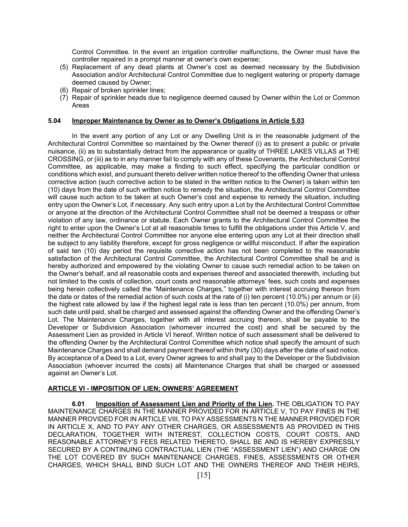Control Committee. In the event an irrigation controller malfunctions, the Owner must have the controller repaired in a prompt manner at owner's own expense;

- (5) Replacement of any dead plants at Owner's cost as deemed necessary by the Subdivision Association and/or Architectural Control Committee due to negligent watering or property damage deemed caused by Owner;
- (6) Repair of broken sprinkler lines;
- (7) Repair of sprinkler heads due to negligence deemed caused by Owner within the Lot or Common Areas

#### **5.04 Improper Maintenance by Owner as to Owner's Obligations in Article 5.03**

 In the event any portion of any Lot or any Dwelling Unit is in the reasonable judgment of the Architectural Control Committee so maintained by the Owner thereof (i) as to present a public or private nuisance, (ii) as to substantially detract from the appearance or quality of THREE LAKES VILLAS at THE CROSSING, or (iii) as to in any manner fail to comply with any of these Covenants, the Architectural Control Committee, as applicable, may make a finding to such effect, specifying the particular condition or conditions which exist, and pursuant thereto deliver written notice thereof to the offending Owner that unless corrective action (such corrective action to be stated in the written notice to the Owner) is taken within ten (10) days from the date of such written notice to remedy the situation, the Architectural Control Committee will cause such action to be taken at such Owner's cost and expense to remedy the situation, including entry upon the Owner's Lot, if necessary. Any such entry upon a Lot by the Architectural Control Committee or anyone at the direction of the Architectural Control Committee shall not be deemed a trespass or other violation of any law, ordinance or statute. Each Owner grants to the Architectural Control Committee the right to enter upon the Owner's Lot at all reasonable times to fulfill the obligations under this Article V, and neither the Architectural Control Committee nor anyone else entering upon any Lot at their direction shall be subject to any liability therefore, except for gross negligence or willful misconduct. If after the expiration of said ten (10) day period the requisite corrective action has not been completed to the reasonable satisfaction of the Architectural Control Committee, the Architectural Control Committee shall be and is hereby authorized and empowered by the violating Owner to cause such remedial action to be taken on the Owner's behalf, and all reasonable costs and expenses thereof and associated therewith, including but not limited to the costs of collection, court costs and reasonable attorneys' fees, such costs and expenses being herein collectively called the "Maintenance Charges," together with interest accruing thereon from the date or dates of the remedial action of such costs at the rate of (i) ten percent (10.0%) per annum or (ii) the highest rate allowed by law if the highest legal rate is less than ten percent (10.0%) per annum, from such date until paid, shall be charged and assessed against the offending Owner and the offending Owner's Lot. The Maintenance Charges, together with all interest accruing thereon, shall be payable to the Developer or Subdivision Association (whomever incurred the cost) and shall be secured by the Assessment Lien as provided in Article VI hereof. Written notice of such assessment shall be delivered to the offending Owner by the Architectural Control Committee which notice shall specify the amount of such Maintenance Charges and shall demand payment thereof within thirty (30) days after the date of said notice. By acceptance of a Deed to a Lot, every Owner agrees to and shall pay to the Developer or the Subdivision Association (whoever incurred the costs) all Maintenance Charges that shall be charged or assessed against an Owner's Lot.

#### **ARTICLE VI - IMPOSITION OF LIEN; OWNERS' AGREEMENT**

**6.01 Imposition of Assessment Lien and Priority of the Lien.** THE OBLIGATION TO PAY MAINTENANCE CHARGES IN THE MANNER PROVIDED FOR IN ARTICLE V, TO PAY FINES IN THE MANNER PROVIDED FOR IN ARTICLE VIII, TO PAY ASSESSMENTS N THE MANNER PROVIDED FOR IN ARTICLE X, AND TO PAY ANY OTHER CHARGES, OR ASSESSMENTS AS PROVIDED IN THIS DECLARATION, TOGETHER WITH INTEREST, COLLECTION COSTS, COURT COSTS, AND REASONABLE ATTORNEY'S FEES RELATED THERETO, SHALL BE AND IS HEREBY EXPRESSLY SECURED BY A CONTINUING CONTRACTUAL LIEN (THE "ASSESSMENT LIEN") AND CHARGE ON THE LOT COVERED BY SUCH MAINTENANCE CHARGES, FINES, ASSESSMENTS OR OTHER CHARGES, WHICH SHALL BIND SUCH LOT AND THE OWNERS THEREOF AND THEIR HEIRS,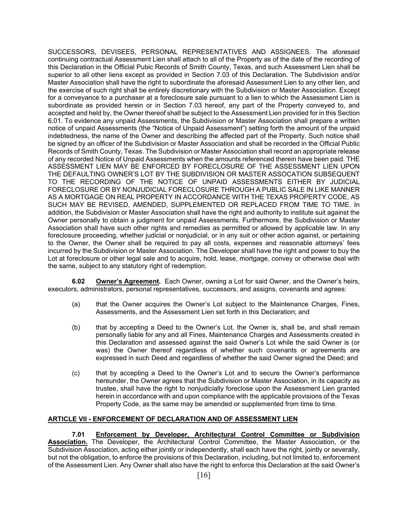SUCCESSORS, DEVISEES, PERSONAL REPRESENTATIVES AND ASSIGNEES. The aforesaid continuing contractual Assessment Lien shall attach to all of the Property as of the date of the recording of this Declaration in the Official Pubic Records of Smith County, Texas, and such Assessment Lien shall be superior to all other liens except as provided in Section 7.03 of this Declaration. The Subdivision and/or Master Association shall have the right to subordinate the aforesaid Assessment Lien to any other lien, and the exercise of such right shall be entirely discretionary with the Subdivision or Master Association. Except for a conveyance to a purchaser at a foreclosure sale pursuant to a lien to which the Assessment Lien is subordinate as provided herein or in Section 7.03 hereof, any part of the Property conveyed to, and accepted and held by, the Owner thereof shall be subject to the Assessment Lien provided for in this Section 6.01. To evidence any unpaid Assessments, the Subdivision or Master Association shall prepare a written notice of unpaid Assessments (the "Notice of Unpaid Assessment") setting forth the amount of the unpaid indebtedness, the name of the Owner and describing the affected part of the Property. Such notice shall be signed by an officer of the Subdivision or Master Association and shall be recorded in the Official Public Records of Smith County, Texas. The Subdivision or Master Association shall record an appropriate release of any recorded Notice of Unpaid Assessments when the amounts referenced therein have been paid. THE ASSESSMENT LIEN MAY BE ENFORCED BY FORECLOSURE OF THE ASSESSMENT LIEN UPON THE DEFAULTING OWNER'S LOT BY THE SUBDIVISION OR MASTER ASSOCATION SUBSEQUENT TO THE RECORDING OF THE NOTICE OF UNPAID ASSESSMENTS EITHER BY JUDICIAL FORECLOSURE OR BY NONJUDICIAL FORECLOSURE THROUGH A PUBLIC SALE IN LIKE MANNER AS A MORTGAGE ON REAL PROPERTY IN ACCORDANCE WITH THE TEXAS PROPERTY CODE, AS SUCH MAY BE REVISED, AMENDED, SUPPLEMENTED OR REPLACED FROM TIME TO TIME. In addition, the Subdivision or Master Association shall have the right and authority to institute suit against the Owner personally to obtain a judgment for unpaid Assessments. Furthermore, the Subdivision or Master Association shall have such other rights and remedies as permitted or allowed by applicable law. In any foreclosure proceeding, whether judicial or nonjudicial, or in any suit or other action against, or pertaining to the Owner, the Owner shall be required to pay all costs, expenses and reasonable attorneys' fees incurred by the Subdivision or Master Association. The Developer shall have the right and power to buy the Lot at foreclosure or other legal sale and to acquire, hold, lease, mortgage, convey or otherwise deal with the same, subject to any statutory right of redemption.

**6.02 Owner's Agreement.** Each Owner, owning a Lot for said Owner, and the Owner's heirs, executors, administrators, personal representatives, successors, and assigns, covenants and agrees:

- (a) that the Owner acquires the Owner's Lot subject to the Maintenance Charges, Fines, Assessments, and the Assessment Lien set forth in this Declaration; and
- (b) that by accepting a Deed to the Owner's Lot, the Owner is, shall be, and shall remain personally liable for any and all Fines, Maintenance Charges and Assessments created in this Declaration and assessed against the said Owner's Lot while the said Owner is (or was) the Owner thereof regardless of whether such covenants or agreements are expressed in such Deed and regardless of whether the said Owner signed the Deed; and
- (c) that by accepting a Deed to the Owner's Lot and to secure the Owner's performance hereunder, the Owner agrees that the Subdivision or Master Association, in its capacity as trustee, shall have the right to nonjudicially foreclose upon the Assessment Lien granted herein in accordance with and upon compliance with the applicable provisions of the Texas Property Code, as the same may be amended or supplemented from time to time.

#### **ARTICLE VII - ENFORCEMENT OF DECLARATION AND OF ASSESSMENT LIEN**

**7.01 Enforcement by Developer, Architectural Control Committee or Subdivision Association.** The Developer, the Architectural Control Committee, the Master Association, or the Subdivision Association, acting either jointly or independently, shall each have the right, jointly or severally, but not the obligation, to enforce the provisions of this Declaration, including, but not limited to, enforcement of the Assessment Lien. Any Owner shall also have the right to enforce this Declaration at the said Owner's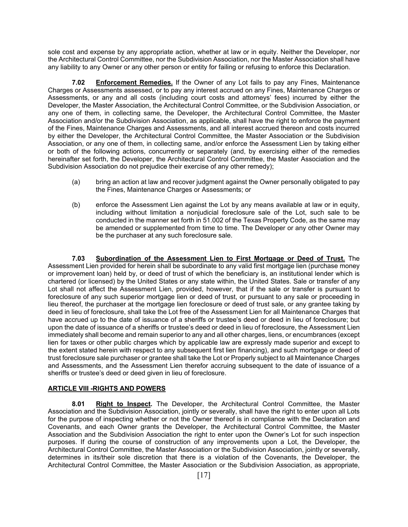sole cost and expense by any appropriate action, whether at law or in equity. Neither the Developer, nor the Architectural Control Committee, nor the Subdivision Association, nor the Master Association shall have any liability to any Owner or any other person or entity for failing or refusing to enforce this Declaration.

**Enforcement Remedies.** If the Owner of any Lot fails to pay any Fines, Maintenance Charges or Assessments assessed, or to pay any interest accrued on any Fines, Maintenance Charges or Assessments, or any and all costs (including court costs and attorneys' fees) incurred by either the Developer, the Master Association, the Architectural Control Committee, or the Subdivision Association, or any one of them, in collecting same, the Developer, the Architectural Control Committee, the Master Association and/or the Subdivision Association, as applicable, shall have the right to enforce the payment of the Fines, Maintenance Charges and Assessments, and all interest accrued thereon and costs incurred by either the Developer, the Architectural Control Committee, the Master Association or the Subdivision Association, or any one of them, in collecting same, and/or enforce the Assessment Lien by taking either or both of the following actions, concurrently or separately (and, by exercising either of the remedies hereinafter set forth, the Developer, the Architectural Control Committee, the Master Association and the Subdivision Association do not prejudice their exercise of any other remedy);

- (a) bring an action at law and recover judgment against the Owner personally obligated to pay the Fines, Maintenance Charges or Assessments; or
- (b) enforce the Assessment Lien against the Lot by any means available at law or in equity, including without limitation a nonjudicial foreclosure sale of the Lot, such sale to be conducted in the manner set forth in 51.002 of the Texas Property Code, as the same may be amended or supplemented from time to time. The Developer or any other Owner may be the purchaser at any such foreclosure sale.

**7.03 Subordination of the Assessment Lien to First Mortgage or Deed of Trust.** The Assessment Lien provided for herein shall be subordinate to any valid first mortgage lien (purchase money or improvement loan) held by, or deed of trust of which the beneficiary is, an institutional lender which is chartered (or licensed) by the United States or any state within, the United States. Sale or transfer of any Lot shall not affect the Assessment Lien, provided, however, that if the sale or transfer is pursuant to foreclosure of any such superior mortgage lien or deed of trust, or pursuant to any sale or proceeding in lieu thereof, the purchaser at the mortgage lien foreclosure or deed of trust sale, or any grantee taking by deed in lieu of foreclosure, shall take the Lot free of the Assessment Lien for all Maintenance Charges that have accrued up to the date of issuance of a sheriffs or trustee's deed or deed in lieu of foreclosure; but upon the date of issuance of a sheriffs or trustee's deed or deed in lieu of foreclosure, the Assessment Lien immediately shall become and remain superior to any and all other charges, liens, or encumbrances (except lien for taxes or other public charges which by applicable law are expressly made superior and except to the extent stated herein with respect to any subsequent first lien financing), and such mortgage or deed of trust foreclosure sale purchaser or grantee shall take the Lot or Properly subject to all Maintenance Charges and Assessments, and the Assessment Lien therefor accruing subsequent to the date of issuance of a sheriffs or trustee's deed or deed given in lieu of foreclosure.

#### **ARTICLE VIII -RIGHTS AND POWERS**

**8.01 Right to Inspect.** The Developer, the Architectural Control Committee, the Master Association and the Subdivision Association, jointly or severally, shall have the right to enter upon all Lots for the purpose of inspecting whether or not the Owner thereof is in compliance with the Declaration and Covenants, and each Owner grants the Developer, the Architectural Control Committee, the Master Association and the Subdivision Association the right to enter upon the Owner's Lot for such inspection purposes. If during the course of construction of any improvements upon a Lot, the Developer, the Architectural Control Committee, the Master Association or the Subdivision Association, jointly or severally, determines in its/their sole discretion that there is a violation of the Covenants, the Developer, the Architectural Control Committee, the Master Association or the Subdivision Association, as appropriate,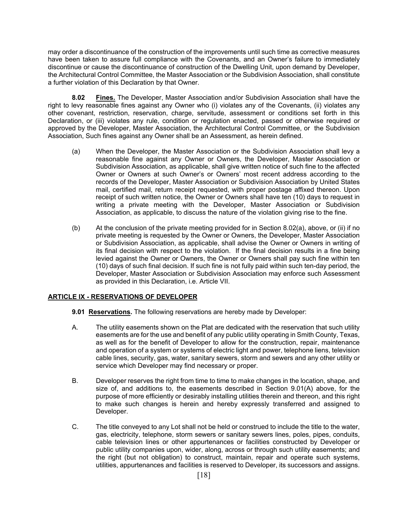may order a discontinuance of the construction of the improvements until such time as corrective measures have been taken to assure full compliance with the Covenants, and an Owner's failure to immediately discontinue or cause the discontinuance of construction of the Dwelling Unit, upon demand by Developer, the Architectural Control Committee, the Master Association or the Subdivision Association, shall constitute a further violation of this Declaration by that Owner.

**8.02 Fines.** The Developer, Master Association and/or Subdivision Association shall have the right to levy reasonable fines against any Owner who (i) violates any of the Covenants, (ii) violates any other covenant, restriction, reservation, charge, servitude, assessment or conditions set forth in this Declaration, or (iii) violates any rule, condition or regulation enacted, passed or otherwise required or approved by the Developer, Master Association, the Architectural Control Committee, or the Subdivision Association, Such fines against any Owner shall be an Assessment, as herein defined.

- (a) When the Developer, the Master Association or the Subdivision Association shall levy a reasonable fine against any Owner or Owners, the Developer, Master Association or Subdivision Association, as applicable, shall give written notice of such fine to the affected Owner or Owners at such Owner's or Owners' most recent address according to the records of the Developer, Master Association or Subdivision Association by United States mail, certified mail, return receipt requested, with proper postage affixed thereon. Upon receipt of such written notice, the Owner or Owners shall have ten (10) days to request in writing a private meeting with the Developer, Master Association or Subdivision Association, as applicable, to discuss the nature of the violation giving rise to the fine.
- (b) At the conclusion of the private meeting provided for in Section 8.02(a), above, or (ii) if no private meeting is requested by the Owner or Owners, the Developer, Master Association or Subdivision Association, as applicable, shall advise the Owner or Owners in writing of its final decision with respect to the violation. If the final decision results in a fine being levied against the Owner or Owners, the Owner or Owners shall pay such fine within ten (10) days of such final decision. If such fine is not fully paid within such ten-day period, the Developer, Master Association or Subdivision Association may enforce such Assessment as provided in this Declaration, i.e. Article VII.

#### **ARTICLE IX - RESERVATIONS OF DEVELOPER**

- **9.01 Reservations.** The following reservations are hereby made by Developer:
- A. The utility easements shown on the Plat are dedicated with the reservation that such utility easements are for the use and benefit of any public utility operating in Smith County, Texas, as well as for the benefit of Developer to allow for the construction, repair, maintenance and operation of a system or systems of electric light and power, telephone liens, television cable lines, security, gas, water, sanitary sewers, storm and sewers and any other utility or service which Developer may find necessary or proper.
- B. Developer reserves the right from time to time to make changes in the location, shape, and size of, and additions to, the easements described in Section 9.01(A) above, for the purpose of more efficiently or desirably installing utilities therein and thereon, and this right to make such changes is herein and hereby expressly transferred and assigned to Developer.
- C. The title conveyed to any Lot shall not be held or construed to include the title to the water, gas, electricity, telephone, storm sewers or sanitary sewers lines, poles, pipes, conduits, cable television lines or other appurtenances or facilities constructed by Developer or public utility companies upon, wider, along, across or through such utility easements; and the right (but not obligation) to construct, maintain, repair and operate such systems, utilities, appurtenances and facilities is reserved to Developer, its successors and assigns.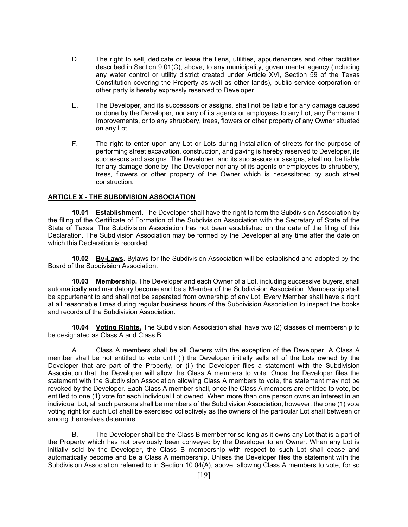- D. The right to sell, dedicate or lease the liens, utilities, appurtenances and other facilities described in Section 9.01(C), above, to any municipality, governmental agency (including any water control or utility district created under Article XVI, Section 59 of the Texas Constitution covering the Property as well as other lands), public service corporation or other party is hereby expressly reserved to Developer.
- E. The Developer, and its successors or assigns, shall not be liable for any damage caused or done by the Developer, nor any of its agents or employees to any Lot, any Permanent Improvements, or to any shrubbery, trees, flowers or other property of any Owner situated on any Lot.
- F. The right to enter upon any Lot or Lots during installation of streets for the purpose of performing street excavation, construction, and paving is hereby reserved to Developer, its successors and assigns. The Developer, and its successors or assigns, shall not be liable for any damage done by The Developer nor any of its agents or employees to shrubbery, trees, flowers or other property of the Owner which is necessitated by such street construction.

#### **ARTICLE X - THE SUBDIVISION ASSOCIATION**

**10.01 Establishment.** The Developer shall have the right to form the Subdivision Association by the filing of the Certificate of Formation of the Subdivision Association with the Secretary of State of the State of Texas. The Subdivision Association has not been established on the date of the filing of this Declaration. The Subdivision Association may be formed by the Developer at any time after the date on which this Declaration is recorded.

**10.02 By-Laws.** Bylaws for the Subdivision Association will be established and adopted by the Board of the Subdivision Association.

**10.03 Membership.** The Developer and each Owner of a Lot, including successive buyers, shall automatically and mandatory become and be a Member of the Subdivision Association. Membership shall be appurtenant to and shall not be separated from ownership of any Lot. Every Member shall have a right at all reasonable times during regular business hours of the Subdivision Association to inspect the books and records of the Subdivision Association.

**10.04 Voting Rights.** The Subdivision Association shall have two (2) classes of membership to be designated as Class A and Class B.

 A. Class A members shall be all Owners with the exception of the Developer. A Class A member shall be not entitled to vote until (i) the Developer initially sells all of the Lots owned by the Developer that are part of the Property, or (ii) the Developer files a statement with the Subdivision Association that the Developer will allow the Class A members to vote. Once the Developer files the statement with the Subdivision Association allowing Class A members to vote, the statement may not be revoked by the Developer. Each Class A member shall, once the Class A members are entitled to vote, be entitled to one (1) vote for each individual Lot owned. When more than one person owns an interest in an individual Lot, all such persons shall be members of the Subdivision Association, however, the one (1) vote voting right for such Lot shall be exercised collectively as the owners of the particular Lot shall between or among themselves determine.

 B. The Developer shall be the Class B member for so long as it owns any Lot that is a part of the Property which has not previously been conveyed by the Developer to an Owner. When any Lot is initially sold by the Developer, the Class B membership with respect to such Lot shall cease and automatically become and be a Class A membership. Unless the Developer files the statement with the Subdivision Association referred to in Section 10.04(A), above, allowing Class A members to vote, for so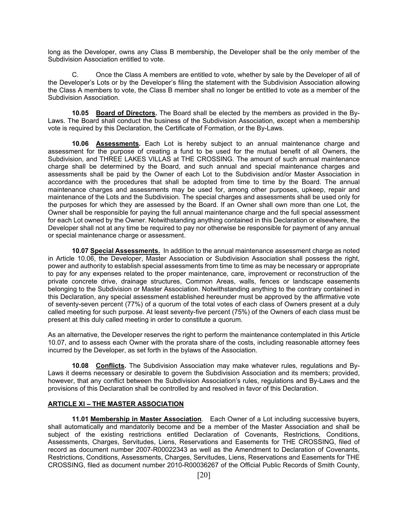long as the Developer, owns any Class B membership, the Developer shall be the only member of the Subdivision Association entitled to vote.

 C. Once the Class A members are entitled to vote, whether by sale by the Developer of all of the Developer's Lots or by the Developer's filing the statement with the Subdivision Association allowing the Class A members to vote, the Class B member shall no longer be entitled to vote as a member of the Subdivision Association.

**10.05 Board of Directors.** The Board shall be elected by the members as provided in the By-Laws. The Board shall conduct the business of the Subdivision Association, except when a membership vote is required by this Declaration, the Certificate of Formation, or the By-Laws.

**10.06 Assessments.** Each Lot is hereby subject to an annual maintenance charge and assessment for the purpose of creating a fund to be used for the mutual benefit of all Owners, the Subdivision, and THREE LAKES VILLAS at THE CROSSING. The amount of such annual maintenance charge shall be determined by the Board, and such annual and special maintenance charges and assessments shall be paid by the Owner of each Lot to the Subdivision and/or Master Association in accordance with the procedures that shall be adopted from time to time by the Board. The annual maintenance charges and assessments may be used for, among other purposes, upkeep, repair and maintenance of the Lots and the Subdivision. The special charges and assessments shall be used only for the purposes for which they are assessed by the Board. If an Owner shall own more than one Lot, the Owner shall be responsible for paying the full annual maintenance charge and the full special assessment for each Lot owned by the Owner. Notwithstanding anything contained in this Declaration or elsewhere, the Developer shall not at any time be required to pay nor otherwise be responsible for payment of any annual or special maintenance charge or assessment.

**10.07 Special Assessments.** In addition to the annual maintenance assessment charge as noted in Article 10.06, the Developer, Master Association or Subdivision Association shall possess the right, power and authority to establish special assessments from time to time as may be necessary or appropriate to pay for any expenses related to the proper maintenance, care, improvement or reconstruction of the private concrete drive, drainage structures, Common Areas, walls, fences or landscape easements belonging to the Subdivision or Master Association. Notwithstanding anything to the contrary contained in this Declaration, any special assessment established hereunder must be approved by the affirmative vote of seventy-seven percent (77%) of a quorum of the total votes of each class of Owners present at a duly called meeting for such purpose. At least seventy-five percent (75%) of the Owners of each class must be present at this duly called meeting in order to constitute a quorum.

As an alternative, the Developer reserves the right to perform the maintenance contemplated in this Article 10.07, and to assess each Owner with the prorata share of the costs, including reasonable attorney fees incurred by the Developer, as set forth in the bylaws of the Association.

**10.08 Conflicts.** The Subdivision Association may make whatever rules, regulations and By-Laws it deems necessary or desirable to govern the Subdivision Association and its members; provided, however, that any conflict between the Subdivision Association's rules, regulations and By-Laws and the provisions of this Declaration shall be controlled by and resolved in favor of this Declaration.

#### **ARTICLE XI – THE MASTER ASSOCIATION**

**11.01 Membership in Master Association**. Each Owner of a Lot including successive buyers, shall automatically and mandatorily become and be a member of the Master Association and shall be subject of the existing restrictions entitled Declaration of Covenants, Restrictions, Conditions, Assessments, Charges, Servitudes, Liens, Reservations and Easements for THE CROSSING, filed of record as document number 2007-R00022343 as well as the Amendment to Declaration of Covenants, Restrictions, Conditions, Assessments, Charges, Servitudes, Liens, Reservations and Easements for THE CROSSING, filed as document number 2010-R00036267 of the Official Public Records of Smith County,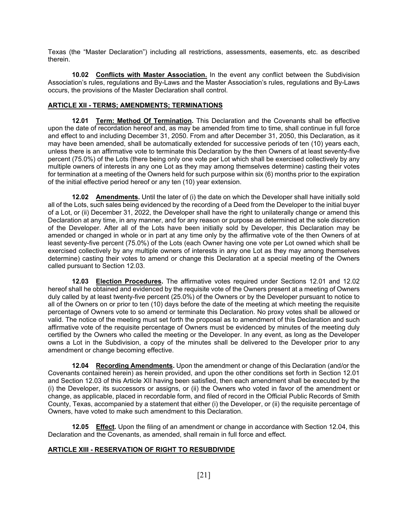Texas (the "Master Declaration") including all restrictions, assessments, easements, etc. as described therein.

**10.02 Conflicts with Master Association.** In the event any conflict between the Subdivision Association's rules, regulations and By-Laws and the Master Association's rules, regulations and By-Laws occurs, the provisions of the Master Declaration shall control.

#### **ARTICLE XII - TERMS; AMENDMENTS; TERMINATIONS**

**12.01 Term: Method Of Termination.** This Declaration and the Covenants shall be effective upon the date of recordation hereof and, as may be amended from time to time, shall continue in full force and effect to and including December 31, 2050. From and after December 31, 2050, this Declaration, as it may have been amended, shall be automatically extended for successive periods of ten (10) years each, unless there is an affirmative vote to terminate this Declaration by the then Owners of at least seventy-five percent (75.0%) of the Lots (there being only one vote per Lot which shall be exercised collectively by any multiple owners of interests in any one Lot as they may among themselves determine) casting their votes for termination at a meeting of the Owners held for such purpose within six (6) months prior to the expiration of the initial effective period hereof or any ten (10) year extension.

**12.02** Amendments. Until the later of (i) the date on which the Developer shall have initially sold all of the Lots, such sales being evidenced by the recording of a Deed from the Developer to the initial buyer of a Lot, or (ii) December 31, 2022, the Developer shall have the right to unilaterally change or amend this Declaration at any time, in any manner, and for any reason or purpose as determined at the sole discretion of the Developer. After all of the Lots have been initially sold by Developer, this Declaration may be amended or changed in whole or in part at any time only by the affirmative vote of the then Owners of at least seventy-five percent (75.0%) of the Lots (each Owner having one vote per Lot owned which shall be exercised collectively by any multiple owners of interests in any one Lot as they may among themselves determine) casting their votes to amend or change this Declaration at a special meeting of the Owners called pursuant to Section 12.03.

**12.03 Election Procedures.** The affirmative votes required under Sections 12.01 and 12.02 hereof shall he obtained and evidenced by the requisite vote of the Owners present at a meeting of Owners duly called by at least twenty-five percent (25.0%) of the Owners or by the Developer pursuant to notice to all of the Owners on or prior to ten (10) days before the date of the meeting at which meeting the requisite percentage of Owners vote to so amend or terminate this Declaration. No proxy votes shall be allowed or valid. The notice of the meeting must set forth the proposal as to amendment of this Declaration and such affirmative vote of the requisite percentage of Owners must be evidenced by minutes of the meeting duly certified by the Owners who called the meeting or the Developer. In any event, as long as the Developer owns a Lot in the Subdivision, a copy of the minutes shall be delivered to the Developer prior to any amendment or change becoming effective.

**12.04 Recording Amendments.** Upon the amendment or change of this Declaration (and/or the Covenants contained herein) as herein provided, and upon the other conditions set forth in Section 12.01 and Section 12.03 of this Article XII having been satisfied, then each amendment shall be executed by the (i) the Developer, its successors or assigns, or (ii) the Owners who voted in favor of the amendment or change, as applicable, placed in recordable form, and filed of record in the Official Public Records of Smith County, Texas, accompanied by a statement that either (i) the Developer, or (ii) the requisite percentage of Owners, have voted to make such amendment to this Declaration.

**12.05 Effect.** Upon the filing of an amendment or change in accordance with Section 12.04, this Declaration and the Covenants, as amended, shall remain in full force and effect.

#### **ARTICLE XIII - RESERVATION OF RIGHT TO RESUBDIVIDE**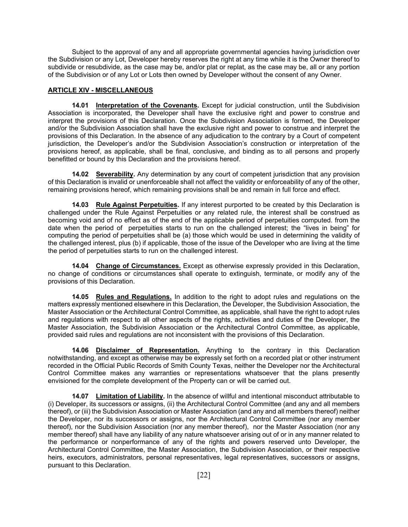Subject to the approval of any and all appropriate governmental agencies having jurisdiction over the Subdivision or any Lot, Developer hereby reserves the right at any time while it is the Owner thereof to subdivide or resubdivide, as the case may be, and/or plat or replat, as the case may be, all or any portion of the Subdivision or of any Lot or Lots then owned by Developer without the consent of any Owner.

#### **ARTICLE XIV - MISCELLANEOUS**

**14.01 Interpretation of the Covenants.** Except for judicial construction, until the Subdivision Association is incorporated, the Developer shall have the exclusive right and power to construe and interpret the provisions of this Declaration. Once the Subdivision Association is formed, the Developer and/or the Subdivision Association shall have the exclusive right and power to construe and interpret the provisions of this Declaration. In the absence of any adjudication to the contrary by a Court of competent jurisdiction, the Developer's and/or the Subdivision Association's construction or interpretation of the provisions hereof, as applicable, shall be final, conclusive, and binding as to all persons and properly benefitted or bound by this Declaration and the provisions hereof.

**14.02 Severability.** Any determination by any court of competent jurisdiction that any provision of this Declaration is invalid or unenforceable shall not affect the validity or enforceability of any of the other, remaining provisions hereof, which remaining provisions shall be and remain in full force and effect.

**14.03 Rule Against Perpetuities.** If any interest purported to be created by this Declaration is challenged under the Rule Against Perpetuities or any related rule, the interest shall be construed as becoming void and of no effect as of the end of the applicable period of perpetuities computed. from the date when the period of perpetuities starts to run on the challenged interest; the "lives in being" for computing the period of perpetuities shall be (a) those which would be used in determining the validity of the challenged interest, plus (b) if applicable, those of the issue of the Developer who are living at the time the period of perpetuities starts to run on the challenged interest.

**14.04 Change of Circumstances.** Except as otherwise expressly provided in this Declaration, no change of conditions or circumstances shall operate to extinguish, terminate, or modify any of the provisions of this Declaration.

**14.05 Rules and Regulations.** In addition to the right to adopt rules and regulations on the matters expressly mentioned elsewhere in this Declaration, the Developer, the Subdivision Association, the Master Association or the Architectural Control Committee, as applicable, shall have the right to adopt rules and regulations with respect to all other aspects of the rights, activities and duties of the Developer, the Master Association, the Subdivision Association or the Architectural Control Committee, as applicable, provided said rules and regulations are not inconsistent with the provisions of this Declaration.

**14.06 Disclaimer of Representation.** Anything to the contrary in this Declaration notwithstanding, and except as otherwise may be expressly set forth on a recorded plat or other instrument recorded in the Official Public Records of Smith County Texas, neither the Developer nor the Architectural Control Committee makes any warranties or representations whatsoever that the plans presently envisioned for the complete development of the Property can or will be carried out.

**14.07 Limitation of Liability.** In the absence of willful and intentional misconduct attributable to (i) Developer, its successors or assigns, (ii) the Architectural Control Committee (and any and all members thereof), or (iii) the Subdivision Association or Master Association (and any and all members thereof) neither the Developer, nor its successors or assigns, nor the Architectural Control Committee (nor any member thereof), nor the Subdivision Association (nor any member thereof), nor the Master Association (nor any member thereof) shall have any liability of any nature whatsoever arising out of or in any manner related to the performance or nonperformance of any of the rights and powers reserved unto Developer, the Architectural Control Committee, the Master Association, the Subdivision Association, or their respective heirs, executors, administrators, personal representatives, legal representatives, successors or assigns, pursuant to this Declaration.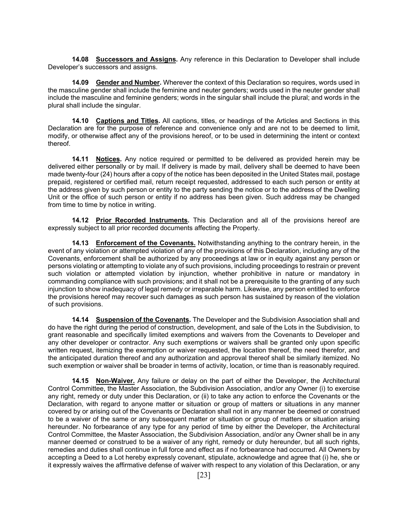**14.08 Successors and Assigns.** Any reference in this Declaration to Developer shall include Developer's successors and assigns.

**14.09 Gender and Number.** Wherever the context of this Declaration so requires, words used in the masculine gender shall include the feminine and neuter genders; words used in the neuter gender shall include the masculine and feminine genders; words in the singular shall include the plural; and words in the plural shall include the singular.

**14.10 Captions and Titles.** All captions, titles, or headings of the Articles and Sections in this Declaration are for the purpose of reference and convenience only and are not to be deemed to limit, modify, or otherwise affect any of the provisions hereof, or to be used in determining the intent or context thereof.

**14.11 Notices.** Any notice required or permitted to be delivered as provided herein may be delivered either personally or by mail. If delivery is made by mail, delivery shall be deemed to have been made twenty-four (24) hours after a copy of the notice has been deposited in the United States mail, postage prepaid, registered or certified mail, return receipt requested, addressed to each such person or entity at the address given by such person or entity to the party sending the notice or to the address of the Dwelling Unit or the office of such person or entity if no address has been given. Such address may be changed from time to time by notice in writing.

**14.12 Prior Recorded Instruments.** This Declaration and all of the provisions hereof are expressly subject to all prior recorded documents affecting the Property.

**14.13 Enforcement of the Covenants.** Notwithstanding anything to the contrary herein, in the event of any violation or attempted violation of any of the provisions of this Declaration, including any of the Covenants, enforcement shall be authorized by any proceedings at law or in equity against any person or persons violating or attempting to violate any of such provisions, including proceedings to restrain or prevent such violation or attempted violation by injunction, whether prohibitive in nature or mandatory in commanding compliance with such provisions; and it shall not be a prerequisite to the granting of any such injunction to show inadequacy of legal remedy or irreparable harm. Likewise, any person entitled to enforce the provisions hereof may recover such damages as such person has sustained by reason of the violation of such provisions.

**14.14 Suspension of the Covenants.** The Developer and the Subdivision Association shall and do have the right during the period of construction, development, and sale of the Lots in the Subdivision, to grant reasonable and specifically limited exemptions and waivers from the Covenants to Developer and any other developer or contractor. Any such exemptions or waivers shall be granted only upon specific written request, itemizing the exemption or waiver requested, the location thereof, the need therefor, and the anticipated duration thereof and any authorization and approval thereof shall be similarly itemized. No such exemption or waiver shall be broader in terms of activity, location, or time than is reasonably required.

**14.15 Non-Waiver.** Any failure or delay on the part of either the Developer, the Architectural Control Committee, the Master Association, the Subdivision Association, and/or any Owner (i) to exercise any right, remedy or duty under this Declaration, or (ii) to take any action to enforce the Covenants or the Declaration, with regard to anyone matter or situation or group of matters or situations in any manner covered by or arising out of the Covenants or Declaration shall not in any manner be deemed or construed to be a waiver of the same or any subsequent matter or situation or group of matters or situation arising hereunder. No forbearance of any type for any period of time by either the Developer, the Architectural Control Committee, the Master Association, the Subdivision Association, and/or any Owner shall be in any manner deemed or construed to be a waiver of any right, remedy or duty hereunder, but all such rights, remedies and duties shall continue in full force and effect as if no forbearance had occurred. All Owners by accepting a Deed to a Lot hereby expressly covenant, stipulate, acknowledge and agree that (i) he, she or it expressly waives the affirmative defense of waiver with respect to any violation of this Declaration, or any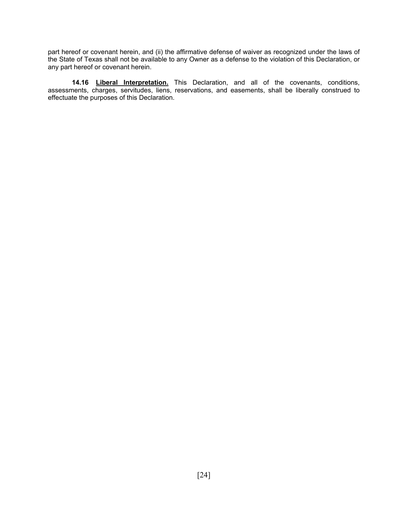part hereof or covenant herein, and (ii) the affirmative defense of waiver as recognized under the laws of the State of Texas shall not be available to any Owner as a defense to the violation of this Declaration, or any part hereof or covenant herein.

**14.16 Liberal Interpretation.** This Declaration, and all of the covenants, conditions, assessments, charges, servitudes, liens, reservations, and easements, shall be liberally construed to effectuate the purposes of this Declaration.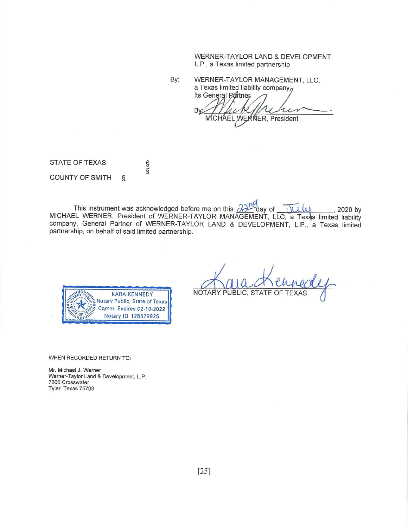#### WERNER-TAYLOR LAND & DEVELOPMENT, L.P., a Texas limited partnership

By: WERNER-TAYLOR MANAGEMENT, LLC, a Texas limited liability company $a$ 

Its General Partner Bγ MICHAEL WERNER, President

**STATE OF TEXAS COUNTY OF SMITH**  $\hat{\mathcal{S}}$ 

မား

This instrument was acknowledged before me on this  $\partial \partial \Gamma^0$  day of Tuly , 2020 by MICHAEL WERNER, President of WERNER-TAYLOR MANAGEMENT, LLC, a Texas limited liability company, General Partner of WERNER-TAYLOR LAND & DEVELOPMENT, L.P., a Texas limited partnership, on behalf of said limited partnership.



NOTARY PUBLIC, STATE OF TEX

WHEN RECORDED RETURN TO:

Mr. Michael J. Werner Werner-Taylor Land & Development, L.P. 7266 Crosswater Tyler, Texas 75703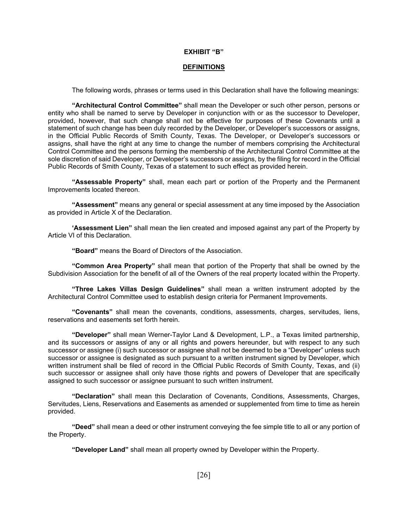#### **EXHIBIT "B"**

#### **DEFINITIONS**

The following words, phrases or terms used in this Declaration shall have the following meanings:

**"Architectural Control Committee"** shall mean the Developer or such other person, persons or entity who shall be named to serve by Developer in conjunction with or as the successor to Developer, provided, however, that such change shall not be effective for purposes of these Covenants until a statement of such change has been duly recorded by the Developer, or Developer's successors or assigns, in the Official Public Records of Smith County, Texas. The Developer, or Developer's successors or assigns, shall have the right at any time to change the number of members comprising the Architectural Control Committee and the persons forming the membership of the Architectural Control Committee at the sole discretion of said Developer, or Developer's successors or assigns, by the filing for record in the Official Public Records of Smith County, Texas of a statement to such effect as provided herein.

**"Assessable Property"** shall, mean each part or portion of the Property and the Permanent Improvements located thereon.

**"Assessment"** means any general or special assessment at any time imposed by the Association as provided in Article X of the Declaration.

**'Assessment Lien"** shall mean the lien created and imposed against any part of the Property by Article VI of this Declaration.

**"Board"** means the Board of Directors of the Association.

**"Common Area Property"** shall mean that portion of the Property that shall be owned by the Subdivision Association for the benefit of all of the Owners of the real property located within the Property.

**"Three Lakes Villas Design Guidelines"** shall mean a written instrument adopted by the Architectural Control Committee used to establish design criteria for Permanent Improvements.

**"Covenants"** shall mean the covenants, conditions, assessments, charges, servitudes, liens, reservations and easements set forth herein.

**"Developer"** shall mean Werner-Taylor Land & Development, L.P., a Texas limited partnership, and its successors or assigns of any or all rights and powers hereunder, but with respect to any such successor or assignee (i) such successor or assignee shall not be deemed to be a "Developer" unless such successor or assignee is designated as such pursuant to a written instrument signed by Developer, which written instrument shall be filed of record in the Official Public Records of Smith County, Texas, and (ii) such successor or assignee shall only have those rights and powers of Developer that are specifically assigned to such successor or assignee pursuant to such written instrument.

**"Declaration"** shall mean this Declaration of Covenants, Conditions, Assessments, Charges, Servitudes, Liens, Reservations and Easements as amended or supplemented from time to time as herein provided.

**"Deed"** shall mean a deed or other instrument conveying the fee simple title to all or any portion of the Property.

 **"Developer Land"** shall mean all property owned by Developer within the Property.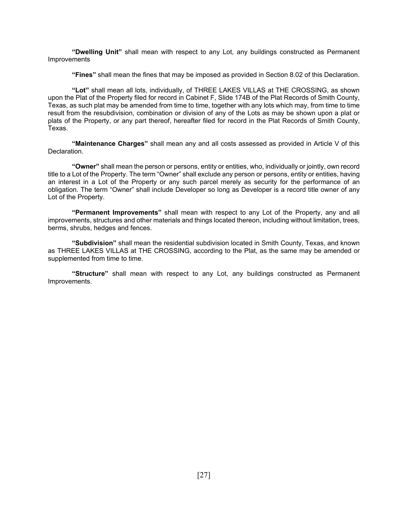**"Dwelling Unit"** shall mean with respect to any Lot, any buildings constructed as Permanent **Improvements** 

**"Fines"** shall mean the fines that may be imposed as provided in Section 8.02 of this Declaration.

**"Lot"** shall mean all lots, individually, of THREE LAKES VILLAS at THE CROSSING, as shown upon the Plat of the Property filed for record in Cabinet F, Slide 174B of the Plat Records of Smith County, Texas, as such plat may be amended from time to time, together with any lots which may, from time to time result from the resubdivision, combination or division of any of the Lots as may be shown upon a plat or plats of the Property, or any part thereof, hereafter filed for record in the Plat Records of Smith County, Texas.

**"Maintenance Charges"** shall mean any and all costs assessed as provided in Article V of this Declaration.

**"Owner"** shall mean the person or persons, entity or entities, who, individually or jointly, own record title to a Lot of the Property. The term "Owner" shall exclude any person or persons, entity or entities, having an interest in a Lot of the Property or any such parcel merely as security for the performance of an obligation. The term "Owner" shall include Developer so long as Developer is a record title owner of any Lot of the Property.

**"Permanent Improvements"** shall mean with respect to any Lot of the Property, any and all improvements, structures and other materials and things located thereon, including without limitation, trees, berms, shrubs, hedges and fences.

**"Subdivision"** shall mean the residential subdivision located in Smith County, Texas, and known as THREE LAKES VILLAS at THE CROSSING, according to the Plat, as the same may be amended or supplemented from time to time.

**"Structure"** shall mean with respect to any Lot, any buildings constructed as Permanent Improvements.